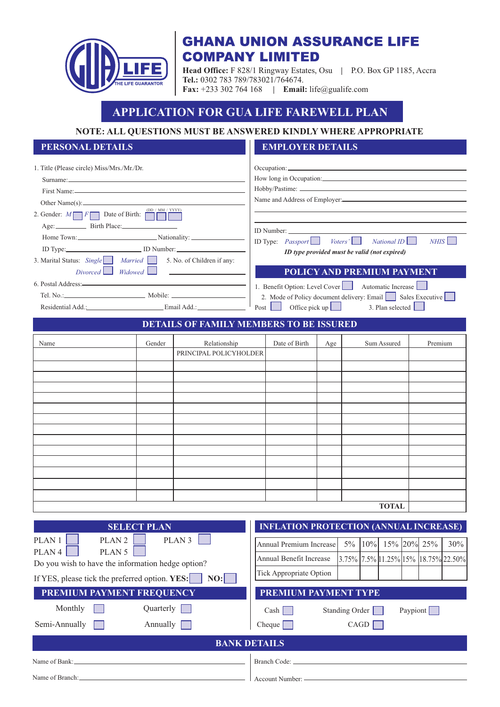

## **GHANA UNION ASSURANCE LIFE COMPANY LIMITED**

**Head Office:** F 828/1 Ringway Estates, Osu **|** P.O. Box GP 1185, Accra **Tel.:** 0302 783 789/783021/764674. **Fax:** +233 302 764 168 **| Email:** life@gualife.com

# **APPLICATION FOR GUA LIFE FAREWELL PLAN**

**NOTE: ALL QUESTIONS MUST BE ANSWERED KINDLY WHERE APPROPRIATE**

### **PERSONAL DETAILS EMPLOYER DETAILS**

| 1. Title (Please circle) Miss/Mrs./Mr./Dr.<br>Other Name(s): $\qquad \qquad$<br>(DD / MM / YYYY)<br>2. Gender: $M \fbox{ or } F$ Date of Birth: $\fbox{ or }$<br>Home Town: Nationality:<br>ID Type: ID Number:<br>3. Marital Status: Single Married 5. No. of Children if any:<br>$Divored$ $Midowed$ $\Box$<br>Residential Add.: Email Add.: Email Add.: |                       |                                                | ID Type: <i>Passport</i> Voters'<br>NationalID<br>NHIS<br>ID type provided must be valid (not expired)<br><b>POLICY AND PREMIUM PAYMENT</b><br>1. Benefit Option: Level Cover   Automatic Increase<br>2. Mode of Policy document delivery: Email Sales Executive<br>Post Office pick up<br>3. Plan selected |                                                                                                                                                        |     |                       |        |                                                   |          |         |     |
|------------------------------------------------------------------------------------------------------------------------------------------------------------------------------------------------------------------------------------------------------------------------------------------------------------------------------------------------------------|-----------------------|------------------------------------------------|-------------------------------------------------------------------------------------------------------------------------------------------------------------------------------------------------------------------------------------------------------------------------------------------------------------|--------------------------------------------------------------------------------------------------------------------------------------------------------|-----|-----------------------|--------|---------------------------------------------------|----------|---------|-----|
|                                                                                                                                                                                                                                                                                                                                                            |                       | <b>DETAILS OF FAMILY MEMBERS TO BE ISSURED</b> |                                                                                                                                                                                                                                                                                                             |                                                                                                                                                        |     |                       |        |                                                   |          |         |     |
| Name                                                                                                                                                                                                                                                                                                                                                       | Gender                | Relationship<br>PRINCIPAL POLICYHOLDER         |                                                                                                                                                                                                                                                                                                             | Date of Birth                                                                                                                                          | Age |                       |        | Sum Assured<br><b>TOTAL</b>                       |          | Premium |     |
|                                                                                                                                                                                                                                                                                                                                                            |                       |                                                |                                                                                                                                                                                                                                                                                                             |                                                                                                                                                        |     |                       |        |                                                   |          |         |     |
| PLAN <sub>1</sub><br>PLAN <sub>2</sub><br>PLAN <sub>4</sub><br>PLAN <sub>5</sub><br>Do you wish to have the information hedge option?<br>If YES, please tick the preferred option. YES:<br>PREMIUM PAYMENT FREQUENCY                                                                                                                                       | <b>SELECT PLAN</b>    | PLAN <sub>3</sub><br>NO:                       |                                                                                                                                                                                                                                                                                                             | <b>INFLATION PROTECTION (ANNUAL INCREASE)</b><br>Annual Premium Increase<br>Annual Benefit Increase<br>Tick Appropriate Option<br>PREMIUM PAYMENT TYPE |     | $5\%$                 | $10\%$ | 15% 20%<br>$3.75\%$ 7.5% 11.25% 15% 18.75% 22.50% |          | 25%     | 30% |
| Monthly<br>Semi-Annually                                                                                                                                                                                                                                                                                                                                   | Quarterly<br>Annually |                                                |                                                                                                                                                                                                                                                                                                             | Cash<br>Cheque                                                                                                                                         |     | <b>Standing Order</b> | CAGD   |                                                   | Paypiont |         |     |
|                                                                                                                                                                                                                                                                                                                                                            |                       | <b>BANK DETAILS</b>                            |                                                                                                                                                                                                                                                                                                             |                                                                                                                                                        |     |                       |        |                                                   |          |         |     |
| Name of Bank:                                                                                                                                                                                                                                                                                                                                              |                       |                                                |                                                                                                                                                                                                                                                                                                             | Branch Code:                                                                                                                                           |     |                       |        |                                                   |          |         |     |

Account Number: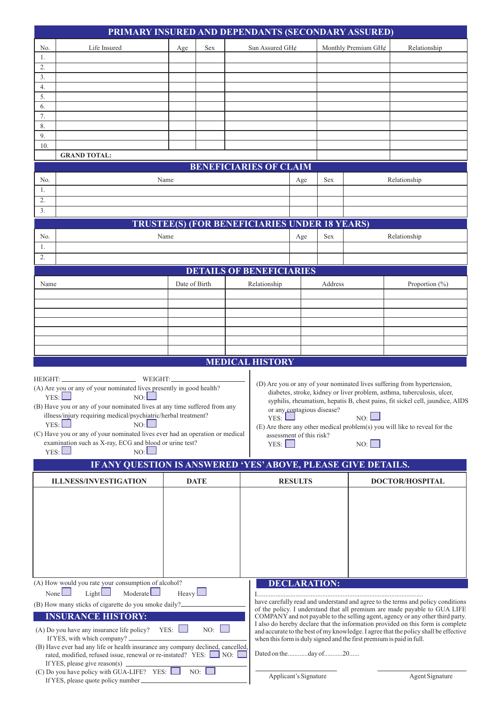|                                                                                                                                                                                                                                                                                                                                  | PRIMARY INSURED AND DEPENDANTS (SECONDARY ASSURED)                                                                                                                                                                                                                                                                                                                                                          |               |                       |  |                                                      |                |                                                                      |                                                                                                                                                                                                                                                                                                                                                                                                                           |                                                                                                                                                                                                                                                                                                                   |
|----------------------------------------------------------------------------------------------------------------------------------------------------------------------------------------------------------------------------------------------------------------------------------------------------------------------------------|-------------------------------------------------------------------------------------------------------------------------------------------------------------------------------------------------------------------------------------------------------------------------------------------------------------------------------------------------------------------------------------------------------------|---------------|-----------------------|--|------------------------------------------------------|----------------|----------------------------------------------------------------------|---------------------------------------------------------------------------------------------------------------------------------------------------------------------------------------------------------------------------------------------------------------------------------------------------------------------------------------------------------------------------------------------------------------------------|-------------------------------------------------------------------------------------------------------------------------------------------------------------------------------------------------------------------------------------------------------------------------------------------------------------------|
| Life Insured<br>Sex<br>Age<br>No.                                                                                                                                                                                                                                                                                                |                                                                                                                                                                                                                                                                                                                                                                                                             |               |                       |  | Sun Assured GH¢                                      |                |                                                                      | Monthly Premium GH¢                                                                                                                                                                                                                                                                                                                                                                                                       | Relationship                                                                                                                                                                                                                                                                                                      |
| 1.                                                                                                                                                                                                                                                                                                                               |                                                                                                                                                                                                                                                                                                                                                                                                             |               |                       |  |                                                      |                |                                                                      |                                                                                                                                                                                                                                                                                                                                                                                                                           |                                                                                                                                                                                                                                                                                                                   |
| 2.<br>3.                                                                                                                                                                                                                                                                                                                         |                                                                                                                                                                                                                                                                                                                                                                                                             |               |                       |  |                                                      |                |                                                                      |                                                                                                                                                                                                                                                                                                                                                                                                                           |                                                                                                                                                                                                                                                                                                                   |
| 4.                                                                                                                                                                                                                                                                                                                               |                                                                                                                                                                                                                                                                                                                                                                                                             |               |                       |  |                                                      |                |                                                                      |                                                                                                                                                                                                                                                                                                                                                                                                                           |                                                                                                                                                                                                                                                                                                                   |
| 5.                                                                                                                                                                                                                                                                                                                               |                                                                                                                                                                                                                                                                                                                                                                                                             |               |                       |  |                                                      |                |                                                                      |                                                                                                                                                                                                                                                                                                                                                                                                                           |                                                                                                                                                                                                                                                                                                                   |
| 6.                                                                                                                                                                                                                                                                                                                               |                                                                                                                                                                                                                                                                                                                                                                                                             |               |                       |  |                                                      |                |                                                                      |                                                                                                                                                                                                                                                                                                                                                                                                                           |                                                                                                                                                                                                                                                                                                                   |
| 7.<br>8.                                                                                                                                                                                                                                                                                                                         |                                                                                                                                                                                                                                                                                                                                                                                                             |               |                       |  |                                                      |                |                                                                      |                                                                                                                                                                                                                                                                                                                                                                                                                           |                                                                                                                                                                                                                                                                                                                   |
| 9.                                                                                                                                                                                                                                                                                                                               |                                                                                                                                                                                                                                                                                                                                                                                                             |               |                       |  |                                                      |                |                                                                      |                                                                                                                                                                                                                                                                                                                                                                                                                           |                                                                                                                                                                                                                                                                                                                   |
| 10.                                                                                                                                                                                                                                                                                                                              |                                                                                                                                                                                                                                                                                                                                                                                                             |               |                       |  |                                                      |                |                                                                      |                                                                                                                                                                                                                                                                                                                                                                                                                           |                                                                                                                                                                                                                                                                                                                   |
|                                                                                                                                                                                                                                                                                                                                  | <b>GRAND TOTAL:</b>                                                                                                                                                                                                                                                                                                                                                                                         |               |                       |  | <b>BENEFICIARIES OF CLAIM</b>                        |                |                                                                      |                                                                                                                                                                                                                                                                                                                                                                                                                           |                                                                                                                                                                                                                                                                                                                   |
|                                                                                                                                                                                                                                                                                                                                  |                                                                                                                                                                                                                                                                                                                                                                                                             |               |                       |  |                                                      |                |                                                                      |                                                                                                                                                                                                                                                                                                                                                                                                                           |                                                                                                                                                                                                                                                                                                                   |
| No.<br>1.                                                                                                                                                                                                                                                                                                                        | Name                                                                                                                                                                                                                                                                                                                                                                                                        |               |                       |  |                                                      | Age            | Sex                                                                  |                                                                                                                                                                                                                                                                                                                                                                                                                           | Relationship                                                                                                                                                                                                                                                                                                      |
| 2.                                                                                                                                                                                                                                                                                                                               |                                                                                                                                                                                                                                                                                                                                                                                                             |               |                       |  |                                                      |                |                                                                      |                                                                                                                                                                                                                                                                                                                                                                                                                           |                                                                                                                                                                                                                                                                                                                   |
| 3.                                                                                                                                                                                                                                                                                                                               |                                                                                                                                                                                                                                                                                                                                                                                                             |               |                       |  |                                                      |                |                                                                      |                                                                                                                                                                                                                                                                                                                                                                                                                           |                                                                                                                                                                                                                                                                                                                   |
|                                                                                                                                                                                                                                                                                                                                  |                                                                                                                                                                                                                                                                                                                                                                                                             |               |                       |  | <b>TRUSTEE(S) (FOR BENEFICIARIES UNDER 18 YEARS)</b> |                |                                                                      |                                                                                                                                                                                                                                                                                                                                                                                                                           |                                                                                                                                                                                                                                                                                                                   |
| No.                                                                                                                                                                                                                                                                                                                              | Name                                                                                                                                                                                                                                                                                                                                                                                                        |               |                       |  |                                                      | Age            | Sex                                                                  |                                                                                                                                                                                                                                                                                                                                                                                                                           | Relationship                                                                                                                                                                                                                                                                                                      |
| 1.<br>2.                                                                                                                                                                                                                                                                                                                         |                                                                                                                                                                                                                                                                                                                                                                                                             |               |                       |  |                                                      |                |                                                                      |                                                                                                                                                                                                                                                                                                                                                                                                                           |                                                                                                                                                                                                                                                                                                                   |
|                                                                                                                                                                                                                                                                                                                                  |                                                                                                                                                                                                                                                                                                                                                                                                             |               |                       |  | <b>DETAILS OF BENEFICIARIES</b>                      |                |                                                                      |                                                                                                                                                                                                                                                                                                                                                                                                                           |                                                                                                                                                                                                                                                                                                                   |
| Name                                                                                                                                                                                                                                                                                                                             |                                                                                                                                                                                                                                                                                                                                                                                                             | Date of Birth |                       |  | Relationship                                         |                | Address                                                              |                                                                                                                                                                                                                                                                                                                                                                                                                           | Proportion $(\% )$                                                                                                                                                                                                                                                                                                |
|                                                                                                                                                                                                                                                                                                                                  |                                                                                                                                                                                                                                                                                                                                                                                                             |               |                       |  |                                                      |                |                                                                      |                                                                                                                                                                                                                                                                                                                                                                                                                           |                                                                                                                                                                                                                                                                                                                   |
|                                                                                                                                                                                                                                                                                                                                  |                                                                                                                                                                                                                                                                                                                                                                                                             |               |                       |  |                                                      |                |                                                                      |                                                                                                                                                                                                                                                                                                                                                                                                                           |                                                                                                                                                                                                                                                                                                                   |
|                                                                                                                                                                                                                                                                                                                                  |                                                                                                                                                                                                                                                                                                                                                                                                             |               |                       |  |                                                      |                |                                                                      |                                                                                                                                                                                                                                                                                                                                                                                                                           |                                                                                                                                                                                                                                                                                                                   |
|                                                                                                                                                                                                                                                                                                                                  |                                                                                                                                                                                                                                                                                                                                                                                                             |               |                       |  |                                                      |                |                                                                      |                                                                                                                                                                                                                                                                                                                                                                                                                           |                                                                                                                                                                                                                                                                                                                   |
|                                                                                                                                                                                                                                                                                                                                  |                                                                                                                                                                                                                                                                                                                                                                                                             |               |                       |  |                                                      |                |                                                                      |                                                                                                                                                                                                                                                                                                                                                                                                                           |                                                                                                                                                                                                                                                                                                                   |
|                                                                                                                                                                                                                                                                                                                                  |                                                                                                                                                                                                                                                                                                                                                                                                             |               |                       |  | <b>MEDICAL HISTORY</b>                               |                |                                                                      |                                                                                                                                                                                                                                                                                                                                                                                                                           |                                                                                                                                                                                                                                                                                                                   |
|                                                                                                                                                                                                                                                                                                                                  |                                                                                                                                                                                                                                                                                                                                                                                                             |               |                       |  |                                                      |                |                                                                      |                                                                                                                                                                                                                                                                                                                                                                                                                           |                                                                                                                                                                                                                                                                                                                   |
|                                                                                                                                                                                                                                                                                                                                  | (A) Are you or any of your nominated lives presently in good health?<br>YES:<br>NO:<br>(B) Have you or any of your nominated lives at any time suffered from any<br>illness/injury requiring medical/psychiatric/herbal treatment?<br>YES:<br>NO:<br>(C) Have you or any of your nominated lives ever had an operation or medical<br>examination such as X-ray, ECG and blood or urine test?<br>YES:<br>NO: |               |                       |  | YES:<br>assessment of this risk?<br>YES:             |                | or any contagious disease?                                           | NO:<br>NO:                                                                                                                                                                                                                                                                                                                                                                                                                | (D) Are you or any of your nominated lives suffering from hypertension,<br>diabetes, stroke, kidney or liver problem, asthma, tuberculosis, ulcer,<br>syphilis, rheumatism, hepatis B, chest pains, fit sickel cell, jaundice, AIDS<br>(E) Are there any other medical problem(s) you will like to reveal for the |
|                                                                                                                                                                                                                                                                                                                                  | IF ANY QUESTION IS ANSWERED 'YES' ABOVE, PLEASE GIVE DETAILS.                                                                                                                                                                                                                                                                                                                                               |               |                       |  |                                                      |                |                                                                      |                                                                                                                                                                                                                                                                                                                                                                                                                           |                                                                                                                                                                                                                                                                                                                   |
|                                                                                                                                                                                                                                                                                                                                  | <b>ILLNESS/INVESTIGATION</b>                                                                                                                                                                                                                                                                                                                                                                                |               | <b>DATE</b>           |  |                                                      | <b>RESULTS</b> |                                                                      |                                                                                                                                                                                                                                                                                                                                                                                                                           | DOCTOR/HOSPITAL                                                                                                                                                                                                                                                                                                   |
|                                                                                                                                                                                                                                                                                                                                  |                                                                                                                                                                                                                                                                                                                                                                                                             |               |                       |  |                                                      |                |                                                                      |                                                                                                                                                                                                                                                                                                                                                                                                                           |                                                                                                                                                                                                                                                                                                                   |
|                                                                                                                                                                                                                                                                                                                                  | (A) How would you rate your consumption of alcohol?                                                                                                                                                                                                                                                                                                                                                         |               |                       |  | <b>DECLARATION:</b>                                  |                |                                                                      |                                                                                                                                                                                                                                                                                                                                                                                                                           |                                                                                                                                                                                                                                                                                                                   |
| Heavy<br>Light<br>Moderate $\Box$<br>None $\Box$<br>(B) How many sticks of cigarette do you smoke daily?_<br><b>INSURANCE HISTORY:</b><br>NO:<br>$YES:$ $\Box$<br>(A) Do you have any insurance life policy?<br>If YES, with which company? _<br>(B) Have ever had any life or health insurance any company declined, cancelled, |                                                                                                                                                                                                                                                                                                                                                                                                             |               |                       |  |                                                      |                | when this form is duly signed and the first premium is paid in full. | have carefully read and understand and agree to the terms and policy conditions<br>of the policy. I understand that all premium are made payable to GUA LIFE<br>COMPANY and not payable to the selling agent, agency or any other third party.<br>I also do hereby declare that the information provided on this form is complete<br>and accurate to the best of my knowledge. I agree that the policy shall be effective |                                                                                                                                                                                                                                                                                                                   |
|                                                                                                                                                                                                                                                                                                                                  | rated, modified, refused issue, renewal or re-instated? YES: NO:  <br>If YES, please give reason(s).                                                                                                                                                                                                                                                                                                        |               |                       |  | Dated on theday of20                                 |                |                                                                      |                                                                                                                                                                                                                                                                                                                                                                                                                           |                                                                                                                                                                                                                                                                                                                   |
| (C) Do you have policy with GUA-LIFE? YES: $\Box$ NO:<br>If YES, please quote policy number_                                                                                                                                                                                                                                     |                                                                                                                                                                                                                                                                                                                                                                                                             |               | Applicant's Signature |  |                                                      |                | Agent Signature                                                      |                                                                                                                                                                                                                                                                                                                                                                                                                           |                                                                                                                                                                                                                                                                                                                   |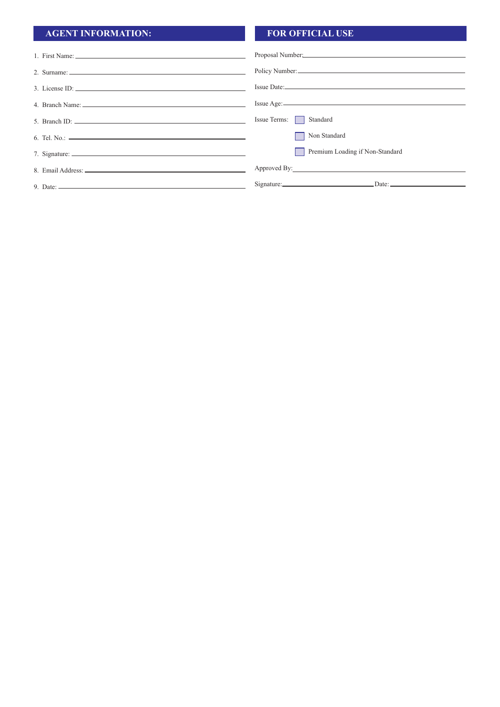## **AGENT INFORMATION: FOR OFFICIAL USE**

| 1. First Name:                                                                                                                                                                                                                                                                                                                                                                                 |                                 |
|------------------------------------------------------------------------------------------------------------------------------------------------------------------------------------------------------------------------------------------------------------------------------------------------------------------------------------------------------------------------------------------------|---------------------------------|
| 2. Surname: $\frac{1}{2}$ Surname: $\frac{1}{2}$ Surname: $\frac{1}{2}$ Surname: $\frac{1}{2}$ Surname: $\frac{1}{2}$ Surname: $\frac{1}{2}$ Surname: $\frac{1}{2}$ Surname: $\frac{1}{2}$ Surname: $\frac{1}{2}$ Surname: $\frac{1}{2}$ Surname: $\frac{1}{2}$ Surname:                                                                                                                       | Policy Number:                  |
| 3. License ID: $\qquad \qquad$ $\qquad \qquad$ $\qquad \qquad$ $\qquad \qquad$ $\qquad \qquad$ $\qquad \qquad$ $\qquad \qquad$ $\qquad \qquad$ $\qquad \qquad$ $\qquad \qquad$ $\qquad \qquad$ $\qquad \qquad$ $\qquad \qquad$ $\qquad \qquad$ $\qquad \qquad$ $\qquad \qquad$ $\qquad \qquad$ $\qquad \qquad$ $\qquad \qquad$ $\qquad \qquad$ $\qquad \qquad$ $\qquad \qquad$ $\qquad \qquad$ |                                 |
|                                                                                                                                                                                                                                                                                                                                                                                                |                                 |
| 5. Branch ID: $\qquad \qquad$                                                                                                                                                                                                                                                                                                                                                                  | Issue Terms:<br>Standard        |
|                                                                                                                                                                                                                                                                                                                                                                                                | Non Standard                    |
|                                                                                                                                                                                                                                                                                                                                                                                                | Premium Loading if Non-Standard |
|                                                                                                                                                                                                                                                                                                                                                                                                |                                 |
| 9. Date: $\frac{1}{2}$ Date: $\frac{1}{2}$ Date: $\frac{1}{2}$ Date: $\frac{1}{2}$ Date: $\frac{1}{2}$ Date: $\frac{1}{2}$ Date: $\frac{1}{2}$ Date: $\frac{1}{2}$ Date: $\frac{1}{2}$ Date: $\frac{1}{2}$ Date: $\frac{1}{2}$ Date: $\frac{1}{2}$ Date: $\frac{1}{2}$ Date: $\frac{$                                                                                                          |                                 |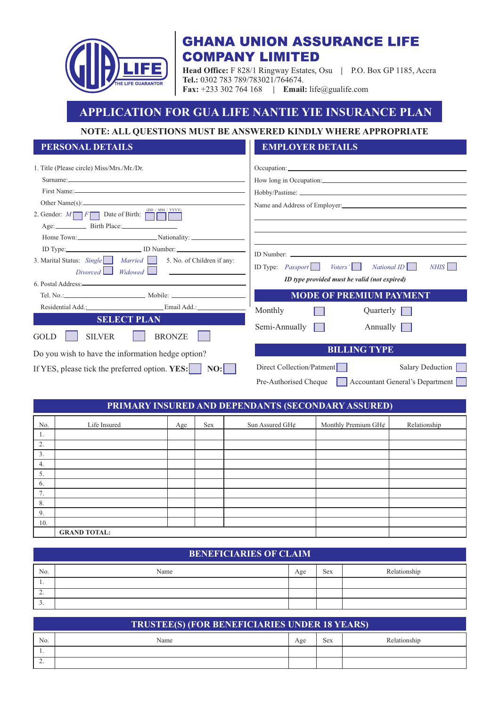

## **GHANA UNION ASSURANCE LIFE COMPANY LIMITED**

**Head Office:** F 828/1 Ringway Estates, Osu **|** P.O. Box GP 1185, Accra **Tel.:** 0302 783 789/783021/764674. **Fax:** +233 302 764 168 **| Email:** life@gualife.com

## **APPLICATION FOR GUA LIFE NANTIE YIE INSURANCE PLAN**

### **NOTE: ALL QUESTIONS MUST BE ANSWERED KINDLY WHERE APPROPRIATE**

### **PERSONAL DETAILS EMPLOYER DETAILS**

| 1. Title (Please circle) Miss/Mrs./Mr./Dr.                                                         |                                                                             |
|----------------------------------------------------------------------------------------------------|-----------------------------------------------------------------------------|
|                                                                                                    | How long in Occupation:                                                     |
|                                                                                                    |                                                                             |
|                                                                                                    | Name and Address of Employer: 1986. The Same and Address of Employer: 1986. |
| (DD / MM / YYYY)<br>2. Gender: $M \fbox{ or } F$ Date of Birth:                                    |                                                                             |
| Age: Birth Place:                                                                                  |                                                                             |
| Home Town: Nationality: Nationality:                                                               |                                                                             |
| ID Type: ID Number:                                                                                |                                                                             |
| 3. Marital Status: Single   Married   5. No. of Children if any:<br>Divorced Widowed Communication | ID Type: <i>Passport</i>   <i>Voters'</i>  <br>NationalID<br>NHIS           |
|                                                                                                    | ID type provided must be valid (not expired)                                |
|                                                                                                    |                                                                             |
|                                                                                                    | <b>MODE OF PREMIUM PAYMENT</b>                                              |
| Residential Add.: Email Add.:                                                                      |                                                                             |
| <b>SELECT PLAN</b>                                                                                 | Monthly<br>Quarterly                                                        |
| <b>BRONZE</b><br><b>SILVER</b><br>GOLD                                                             | Semi-Annually  <br>Annually                                                 |
| Do you wish to have the information hedge option?                                                  | <b>BILLING TYPE</b>                                                         |
| If YES, please tick the preferred option. YES:<br>NO:                                              | Direct Collection/Patment<br>Salary Deduction                               |

### **PRIMARY INSURED AND DEPENDANTS (SECONDARY ASSURED)**

| No.                  | Life Insured        | Age | Sex | Sun Assured GH¢ | Monthly Premium GH¢ | Relationship |
|----------------------|---------------------|-----|-----|-----------------|---------------------|--------------|
| -1.                  |                     |     |     |                 |                     |              |
| 2.                   |                     |     |     |                 |                     |              |
| 3.                   |                     |     |     |                 |                     |              |
| 4.                   |                     |     |     |                 |                     |              |
| 5.                   |                     |     |     |                 |                     |              |
| 6.                   |                     |     |     |                 |                     |              |
| $\tau$<br>$\sqrt{2}$ |                     |     |     |                 |                     |              |
| 8.                   |                     |     |     |                 |                     |              |
| 9.                   |                     |     |     |                 |                     |              |
| 10.                  |                     |     |     |                 |                     |              |
|                      | <b>GRAND TOTAL:</b> |     |     |                 |                     |              |

### **BENEFICIARIES OF CLAIM**

| No.      | Name | Age | <b>Service</b><br><b>Sex</b> | Relationship |
|----------|------|-----|------------------------------|--------------|
| . .      |      |     |                              |              |
| <u>.</u> |      |     |                              |              |
| <u>.</u> |      |     |                              |              |

| <b>TRUSTEE(S) (FOR BENEFICIARIES UNDER 18 YEARS)</b> |      |     |     |              |  |  |  |  |  |
|------------------------------------------------------|------|-----|-----|--------------|--|--|--|--|--|
| No.                                                  | Name | Age | Sex | Relationship |  |  |  |  |  |
| . .                                                  |      |     |     |              |  |  |  |  |  |
| <u>.</u>                                             |      |     |     |              |  |  |  |  |  |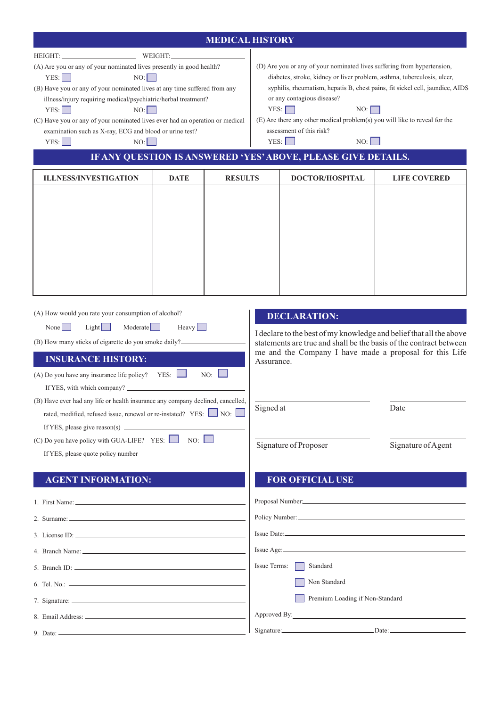|                                                                                                                                                                                                                                                                                                                                                                                                                                                                                                    | <b>MEDICAL HISTORY</b> |                |                                                                                                                                                                                                                                                                                                                                                                                                                                                                            |                                              |                                                                                                                                                                                                                                    |  |  |  |  |
|----------------------------------------------------------------------------------------------------------------------------------------------------------------------------------------------------------------------------------------------------------------------------------------------------------------------------------------------------------------------------------------------------------------------------------------------------------------------------------------------------|------------------------|----------------|----------------------------------------------------------------------------------------------------------------------------------------------------------------------------------------------------------------------------------------------------------------------------------------------------------------------------------------------------------------------------------------------------------------------------------------------------------------------------|----------------------------------------------|------------------------------------------------------------------------------------------------------------------------------------------------------------------------------------------------------------------------------------|--|--|--|--|
| HEIGHT: WEIGHT:<br>(A) Are you or any of your nominated lives presently in good health?<br>YES:<br>NO:<br>(B) Have you or any of your nominated lives at any time suffered from any<br>illness/injury requiring medical/psychiatric/herbal treatment?<br>YES:<br>NO:<br>(C) Have you or any of your nominated lives ever had an operation or medical<br>examination such as X-ray, ECG and blood or urine test?<br>YES:<br>NO:                                                                     |                        |                | (D) Are you or any of your nominated lives suffering from hypertension,<br>diabetes, stroke, kidney or liver problem, asthma, tuberculosis, ulcer,<br>syphilis, rheumatism, hepatis B, chest pains, fit sickel cell, jaundice, AIDS<br>or any contagious disease?<br>YES:<br>NO:<br>(E) Are there any other medical problem(s) you will like to reveal for the<br>assessment of this risk?<br>YES:<br>NO:<br>IF ANY QUESTION IS ANSWERED 'YES' ABOVE, PLEASE GIVE DETAILS. |                                              |                                                                                                                                                                                                                                    |  |  |  |  |
| <b>ILLNESS/INVESTIGATION</b>                                                                                                                                                                                                                                                                                                                                                                                                                                                                       | <b>DATE</b>            | <b>RESULTS</b> |                                                                                                                                                                                                                                                                                                                                                                                                                                                                            | <b>DOCTOR/HOSPITAL</b>                       | <b>LIFE COVERED</b>                                                                                                                                                                                                                |  |  |  |  |
| (A) How would you rate your consumption of alcohol?<br>Light<br>Moderate  <br>None $\vert$ $\vert$<br>(B) How many sticks of cigarette do you smoke daily?<br><b>INSURANCE HISTORY:</b><br>(A) Do you have any insurance life policy?<br>(B) Have ever had any life or health insurance any company declined, cancelled,<br>rated, modified, refused issue, renewal or re-instated? YES: NO:<br>(C) Do you have policy with GUA-LIFE? YES: $\Box$ NO: $\Box$<br>If YES, please quote policy number | $Heavy$  <br>YES:      | NO:            | Assurance.<br>Signed at                                                                                                                                                                                                                                                                                                                                                                                                                                                    | <b>DECLARATION:</b><br>Signature of Proposer | I declare to the best of my knowledge and belief that all the above<br>statements are true and shall be the basis of the contract between<br>me and the Company I have made a proposal for this Life<br>Date<br>Signature of Agent |  |  |  |  |
| <b>AGENT INFORMATION:</b>                                                                                                                                                                                                                                                                                                                                                                                                                                                                          |                        |                |                                                                                                                                                                                                                                                                                                                                                                                                                                                                            | <b>FOR OFFICIAL USE</b>                      |                                                                                                                                                                                                                                    |  |  |  |  |
|                                                                                                                                                                                                                                                                                                                                                                                                                                                                                                    |                        |                |                                                                                                                                                                                                                                                                                                                                                                                                                                                                            | Proposal Number.                             |                                                                                                                                                                                                                                    |  |  |  |  |
| 2. Surname: 2008. [2016]                                                                                                                                                                                                                                                                                                                                                                                                                                                                           |                        |                |                                                                                                                                                                                                                                                                                                                                                                                                                                                                            | $Issue Date: \n$                             | Policy Number:                                                                                                                                                                                                                     |  |  |  |  |
|                                                                                                                                                                                                                                                                                                                                                                                                                                                                                                    |                        |                |                                                                                                                                                                                                                                                                                                                                                                                                                                                                            | $Issue Age:$                                 |                                                                                                                                                                                                                                    |  |  |  |  |
|                                                                                                                                                                                                                                                                                                                                                                                                                                                                                                    |                        |                | Issue Terms:                                                                                                                                                                                                                                                                                                                                                                                                                                                               | Standard                                     |                                                                                                                                                                                                                                    |  |  |  |  |
|                                                                                                                                                                                                                                                                                                                                                                                                                                                                                                    |                        |                |                                                                                                                                                                                                                                                                                                                                                                                                                                                                            | Non Standard                                 |                                                                                                                                                                                                                                    |  |  |  |  |
| 7. Signature: $\frac{1}{\sqrt{1-\frac{1}{2}}\sqrt{1-\frac{1}{2}}\sqrt{1-\frac{1}{2}}\sqrt{1-\frac{1}{2}}\sqrt{1-\frac{1}{2}}\sqrt{1-\frac{1}{2}}\sqrt{1-\frac{1}{2}}\sqrt{1-\frac{1}{2}}\sqrt{1-\frac{1}{2}}\sqrt{1-\frac{1}{2}}\sqrt{1-\frac{1}{2}}\sqrt{1-\frac{1}{2}}\sqrt{1-\frac{1}{2}}\sqrt{1-\frac{1}{2}}\sqrt{1-\frac{1}{2}}\sqrt{1-\frac{1}{2}}\sqrt{1-\frac{1}{2}}\sqrt{1-\frac{1}{2}}\sqrt{$                                                                                            |                        |                |                                                                                                                                                                                                                                                                                                                                                                                                                                                                            | Premium Loading if Non-Standard              |                                                                                                                                                                                                                                    |  |  |  |  |
|                                                                                                                                                                                                                                                                                                                                                                                                                                                                                                    |                        |                |                                                                                                                                                                                                                                                                                                                                                                                                                                                                            |                                              |                                                                                                                                                                                                                                    |  |  |  |  |
|                                                                                                                                                                                                                                                                                                                                                                                                                                                                                                    |                        |                |                                                                                                                                                                                                                                                                                                                                                                                                                                                                            |                                              | Signature: Date: Date: Date:                                                                                                                                                                                                       |  |  |  |  |
|                                                                                                                                                                                                                                                                                                                                                                                                                                                                                                    |                        |                |                                                                                                                                                                                                                                                                                                                                                                                                                                                                            |                                              |                                                                                                                                                                                                                                    |  |  |  |  |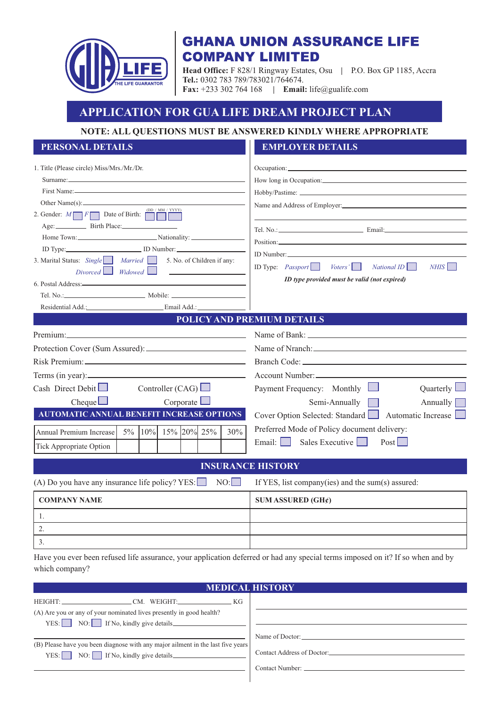

# **GHANA UNION ASSURANCE LIFE COMPANY LIMITED**

**Head Office:** F 828/1 Ringway Estates, Osu **|** P.O. Box GP 1185, Accra **Tel.:** 0302 783 789/783021/764674. **Fax:** +233 302 764 168 **| Email:** life@gualife.com

## **APPLICATION FOR GUA LIFE DREAM PROJECT PLAN**

### **NOTE: ALL QUESTIONS MUST BE ANSWERED KINDLY WHERE APPROPRIATE**

### **PERSONAL DETAILS EMPLOYER DETAILS**

| 1. Title (Please circle) Miss/Mrs./Mr./Dr.                                                                                                                                                                                     | Occupation: New York Contract the Contract of the Contract of the Contract of the Contract of the Contract of the Contract of the Contract of the Contract of the Contract of the Contract of the Contract of the Contract of |  |  |  |  |
|--------------------------------------------------------------------------------------------------------------------------------------------------------------------------------------------------------------------------------|-------------------------------------------------------------------------------------------------------------------------------------------------------------------------------------------------------------------------------|--|--|--|--|
| Surname:                                                                                                                                                                                                                       | How long in Occupation:                                                                                                                                                                                                       |  |  |  |  |
|                                                                                                                                                                                                                                |                                                                                                                                                                                                                               |  |  |  |  |
| (DD / MM / YYYY)                                                                                                                                                                                                               |                                                                                                                                                                                                                               |  |  |  |  |
| 2. Gender: $M \fbox{ or } F$ Date of Birth: $\fbox{ or }$<br>Age: Birth Place:<br>Home Town: Nationality:                                                                                                                      |                                                                                                                                                                                                                               |  |  |  |  |
| ID Type: ID Number:                                                                                                                                                                                                            |                                                                                                                                                                                                                               |  |  |  |  |
| 3. Marital Status: Single Married 5. No. of Children if any:<br>$Divored$ <i>Widowed</i> $\Box$<br><u> 1990 - Andrea State Barbara, amerikan per</u>                                                                           | ID Type: $Passport$ Voters'<br>NHIS<br>NationalID                                                                                                                                                                             |  |  |  |  |
| 6. Postal Address:<br><u>1988:</u>                                                                                                                                                                                             | ID type provided must be valid (not expired)                                                                                                                                                                                  |  |  |  |  |
|                                                                                                                                                                                                                                |                                                                                                                                                                                                                               |  |  |  |  |
| Residential Add.: Email Add.:                                                                                                                                                                                                  |                                                                                                                                                                                                                               |  |  |  |  |
|                                                                                                                                                                                                                                | <b>POLICY AND PREMIUM DETAILS</b>                                                                                                                                                                                             |  |  |  |  |
| Premium: et al. and the contract of the contract of the contract of the contract of the contract of the contract of the contract of the contract of the contract of the contract of the contract of the contract of the contra |                                                                                                                                                                                                                               |  |  |  |  |
|                                                                                                                                                                                                                                |                                                                                                                                                                                                                               |  |  |  |  |
|                                                                                                                                                                                                                                |                                                                                                                                                                                                                               |  |  |  |  |
| Terms (in year):                                                                                                                                                                                                               | Account Number:                                                                                                                                                                                                               |  |  |  |  |
| Cash Direct Debit $\Box$<br>Controller (CAG) $\Box$                                                                                                                                                                            | Payment Frequency: Monthly $\Box$<br>Quarterly L                                                                                                                                                                              |  |  |  |  |
| Cheque<br>Corporate                                                                                                                                                                                                            | Semi-Annually<br>Annually $\lceil$                                                                                                                                                                                            |  |  |  |  |
| <b>AUTOMATIC ANNUAL BENEFIT INCREASE OPTIONS</b>                                                                                                                                                                               | Cover Option Selected: Standard<br>Automatic Increase                                                                                                                                                                         |  |  |  |  |
| 5% 10% 15% 20% 25%<br>30%<br>Annual Premium Increase                                                                                                                                                                           | Preferred Mode of Policy document delivery:                                                                                                                                                                                   |  |  |  |  |
|                                                                                                                                                                                                                                | Email: Sales Executive<br>Post                                                                                                                                                                                                |  |  |  |  |
| <b>Tick Appropriate Option</b>                                                                                                                                                                                                 |                                                                                                                                                                                                                               |  |  |  |  |
|                                                                                                                                                                                                                                | <b>INSURANCE HISTORY</b>                                                                                                                                                                                                      |  |  |  |  |
| (A) Do you have any insurance life policy? YES: $\Box$<br>NO:                                                                                                                                                                  | If YES, list company(ies) and the sum(s) assured:                                                                                                                                                                             |  |  |  |  |
| <b>COMPANY NAME</b>                                                                                                                                                                                                            | SUM ASSURED $(GH\ell)$                                                                                                                                                                                                        |  |  |  |  |
| 1.                                                                                                                                                                                                                             |                                                                                                                                                                                                                               |  |  |  |  |
| 2.                                                                                                                                                                                                                             |                                                                                                                                                                                                                               |  |  |  |  |
| 3.                                                                                                                                                                                                                             |                                                                                                                                                                                                                               |  |  |  |  |
|                                                                                                                                                                                                                                |                                                                                                                                                                                                                               |  |  |  |  |

 which company?Have you ever been refused life assurance, your application deferred or had any special terms imposed on it? If so when and by

| <b>MEDICAL HISTORY</b>                                                                                                                   |                            |  |  |  |  |  |
|------------------------------------------------------------------------------------------------------------------------------------------|----------------------------|--|--|--|--|--|
|                                                                                                                                          |                            |  |  |  |  |  |
| (A) Are you or any of your nominated lives presently in good health?                                                                     |                            |  |  |  |  |  |
|                                                                                                                                          |                            |  |  |  |  |  |
|                                                                                                                                          | Name of Doctor:            |  |  |  |  |  |
| (B) Please have you been diagnose with any major ailment in the last five years<br>$YES:$ NO: If No, kindly give details $\qquad \qquad$ | Contact Address of Doctor: |  |  |  |  |  |
|                                                                                                                                          |                            |  |  |  |  |  |